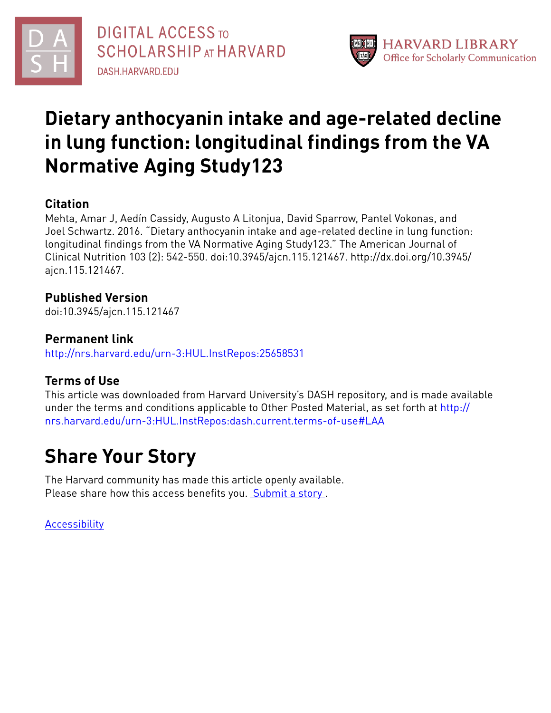



# **Dietary anthocyanin intake and age-related decline in lung function: longitudinal findings from the VA Normative Aging Study123**

## **Citation**

Mehta, Amar J, Aedín Cassidy, Augusto A Litonjua, David Sparrow, Pantel Vokonas, and Joel Schwartz. 2016. "Dietary anthocyanin intake and age-related decline in lung function: longitudinal findings from the VA Normative Aging Study123." The American Journal of Clinical Nutrition 103 (2): 542-550. doi:10.3945/ajcn.115.121467. http://dx.doi.org/10.3945/ ajcn.115.121467.

### **Published Version**

doi:10.3945/ajcn.115.121467

### **Permanent link**

<http://nrs.harvard.edu/urn-3:HUL.InstRepos:25658531>

## **Terms of Use**

This article was downloaded from Harvard University's DASH repository, and is made available under the terms and conditions applicable to Other Posted Material, as set forth at [http://](http://nrs.harvard.edu/urn-3:HUL.InstRepos:dash.current.terms-of-use#LAA) [nrs.harvard.edu/urn-3:HUL.InstRepos:dash.current.terms-of-use#LAA](http://nrs.harvard.edu/urn-3:HUL.InstRepos:dash.current.terms-of-use#LAA)

# **Share Your Story**

The Harvard community has made this article openly available. Please share how this access benefits you. [Submit](http://osc.hul.harvard.edu/dash/open-access-feedback?handle=&title=Dietary%20anthocyanin%20intake%20and%20age-related%20decline%20in%20lung%20function:%20longitudinal%20findings%20from%20the%20VA%20Normative%20Aging%20Study123&community=1/4454685&collection=1/4454686&owningCollection1/4454686&harvardAuthors=d54c094c4d0a3be809304f8026dcd278&department) a story.

**[Accessibility](https://dash.harvard.edu/pages/accessibility)**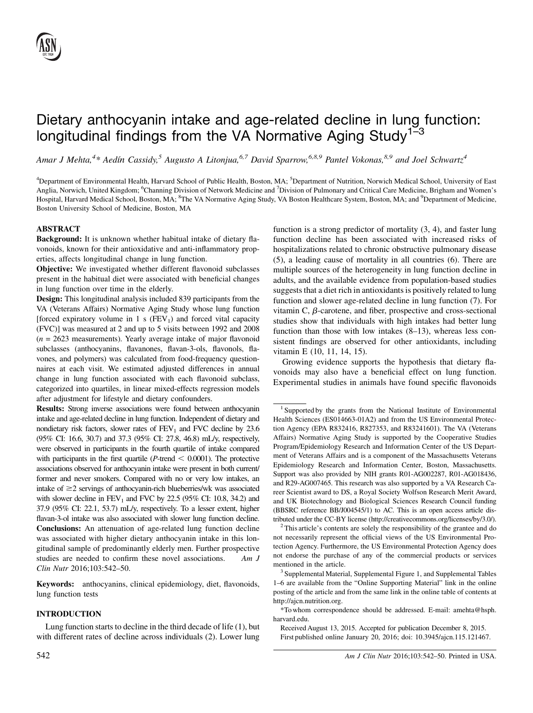# Dietary anthocyanin intake and age-related decline in lung function: longitudinal findings from the VA Normative Aging Study<sup>1-3</sup>

Amar J Mehta,<sup>4</sup>\* Aedín Cassidy,<sup>5</sup> Augusto A Litonjua,<sup>6,7</sup> David Sparrow,<sup>6,8,9</sup> Pantel Vokonas,<sup>8,9</sup> and Joel Schwartz<sup>4</sup>

<sup>4</sup>Department of Environmental Health, Harvard School of Public Health, Boston, MA; <sup>5</sup>Department of Nutrition, Norwich Medical School, University of East Anglia, Norwich, United Kingdom; <sup>6</sup>Channing Division of Network Medicine and <sup>7</sup>Division of Pulmonary and Critical Care Medicine, Brigham and Women's Hospital, Harvard Medical School, Boston, MA; <sup>8</sup>The VA Normative Aging Study, VA Boston Healthcare System, Boston, MA; and <sup>9</sup>Department of Medicine, Boston University School of Medicine, Boston, MA

#### ABSTRACT

Background: It is unknown whether habitual intake of dietary flavonoids, known for their antioxidative and anti-inflammatory properties, affects longitudinal change in lung function.

Objective: We investigated whether different flavonoid subclasses present in the habitual diet were associated with beneficial changes in lung function over time in the elderly.

Design: This longitudinal analysis included 839 participants from the VA (Veterans Affairs) Normative Aging Study whose lung function [forced expiratory volume in 1 s  $(FEV_1)$  and forced vital capacity (FVC)] was measured at 2 and up to 5 visits between 1992 and 2008  $(n = 2623$  measurements). Yearly average intake of major flavonoid subclasses (anthocyanins, flavanones, flavan-3-ols, flavonols, flavones, and polymers) was calculated from food-frequency questionnaires at each visit. We estimated adjusted differences in annual change in lung function associated with each flavonoid subclass, categorized into quartiles, in linear mixed-effects regression models after adjustment for lifestyle and dietary confounders.

Results: Strong inverse associations were found between anthocyanin intake and age-related decline in lung function. Independent of dietary and nondietary risk factors, slower rates of  $FEV<sub>1</sub>$  and  $FVC$  decline by 23.6 (95% CI: 16.6, 30.7) and 37.3 (95% CI: 27.8, 46.8) mL/y, respectively, were observed in participants in the fourth quartile of intake compared with participants in the first quartile ( $P$ -trend  $\leq$  0.0001). The protective associations observed for anthocyanin intake were present in both current/ former and never smokers. Compared with no or very low intakes, an intake of  $\geq$ 2 servings of anthocyanin-rich blueberries/wk was associated with slower decline in  $FEV_1$  and  $FVC$  by 22.5 (95% CI: 10.8, 34.2) and 37.9 (95% CI: 22.1, 53.7) mL/y, respectively. To a lesser extent, higher flavan-3-ol intake was also associated with slower lung function decline. Conclusions: An attenuation of age-related lung function decline was associated with higher dietary anthocyanin intake in this longitudinal sample of predominantly elderly men. Further prospective studies are needed to confirm these novel associations. Am J Clin Nutr 2016;103:542–50.

Keywords: anthocyanins, clinical epidemiology, diet, flavonoids, lung function tests

#### INTRODUCTION

Lung function starts to decline in the third decade of life (1), but with different rates of decline across individuals (2). Lower lung function is a strong predictor of mortality (3, 4), and faster lung function decline has been associated with increased risks of hospitalizations related to chronic obstructive pulmonary disease (5), a leading cause of mortality in all countries (6). There are multiple sources of the heterogeneity in lung function decline in adults, and the available evidence from population-based studies suggests that a diet rich in antioxidants is positively related to lung function and slower age-related decline in lung function (7). For vitamin C,  $\beta$ -carotene, and fiber, prospective and cross-sectional studies show that individuals with high intakes had better lung function than those with low intakes (8–13), whereas less consistent findings are observed for other antioxidants, including vitamin E (10, 11, 14, 15).

Growing evidence supports the hypothesis that dietary flavonoids may also have a beneficial effect on lung function. Experimental studies in animals have found specific flavonoids

<sup>&</sup>lt;sup>1</sup> Supported by the grants from the National Institute of Environmental Health Sciences (ES014663-01A2) and from the US Environmental Protection Agency (EPA R832416, R827353, and R83241601). The VA (Veterans Affairs) Normative Aging Study is supported by the Cooperative Studies Program/Epidemiology Research and Information Center of the US Department of Veterans Affairs and is a component of the Massachusetts Veterans Epidemiology Research and Information Center, Boston, Massachusetts. Support was also provided by NIH grants R01-AG002287, R01-AG018436, and R29-AG007465. This research was also supported by a VA Research Career Scientist award to DS, a Royal Society Wolfson Research Merit Award, and UK Biotechnology and Biological Sciences Research Council funding (BBSRC reference BB/J004545/1) to AC. This is an open access article distributed under the CC-BY license (http://creativecommons.org/licenses/by/3.0/). <sup>2</sup> This article's contents are solely the responsibility of the grantee and do

not necessarily represent the official views of the US Environmental Protection Agency. Furthermore, the US Environmental Protection Agency does not endorse the purchase of any of the commercial products or services mentioned in the article.<br><sup>3</sup> Supplemental Material, Supplemental Figure 1, and Supplemental Tables

<sup>1–6</sup> are available from the "Online Supporting Material" link in the online posting of the article and from the same link in the online table of contents at http://ajcn.nutrition.org.

<sup>\*</sup>To whom correspondence should be addressed. E-mail: amehta@hsph. harvard.edu.

Received August 13, 2015. Accepted for publication December 8, 2015. First published online January 20, 2016; doi: 10.3945/ajcn.115.121467.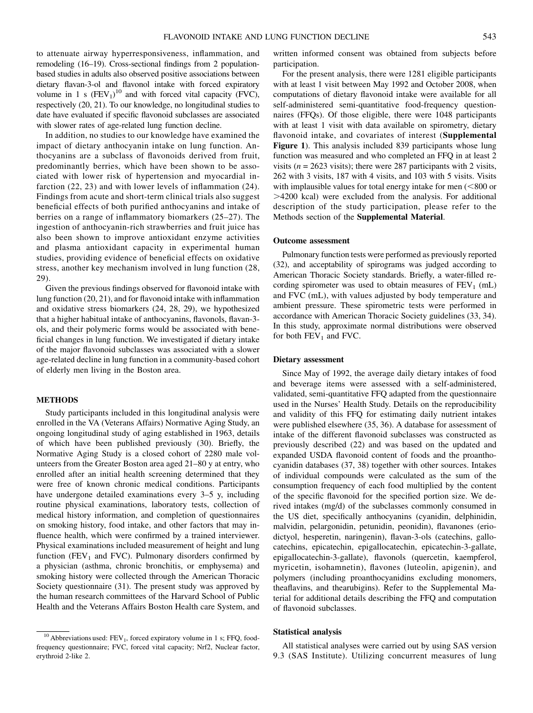to attenuate airway hyperresponsiveness, inflammation, and remodeling (16–19). Cross-sectional findings from 2 populationbased studies in adults also observed positive associations between dietary flavan-3-ol and flavonol intake with forced expiratory volume in 1 s  $(FEV_1)^{10}$  and with forced vital capacity (FVC), respectively (20, 21). To our knowledge, no longitudinal studies to date have evaluated if specific flavonoid subclasses are associated with slower rates of age-related lung function decline.

In addition, no studies to our knowledge have examined the impact of dietary anthocyanin intake on lung function. Anthocyanins are a subclass of flavonoids derived from fruit, predominantly berries, which have been shown to be associated with lower risk of hypertension and myocardial infarction (22, 23) and with lower levels of inflammation (24). Findings from acute and short-term clinical trials also suggest beneficial effects of both purified anthocyanins and intake of berries on a range of inflammatory biomarkers (25–27). The ingestion of anthocyanin-rich strawberries and fruit juice has also been shown to improve antioxidant enzyme activities and plasma antioxidant capacity in experimental human studies, providing evidence of beneficial effects on oxidative stress, another key mechanism involved in lung function (28, 29).

Given the previous findings observed for flavonoid intake with lung function (20, 21), and for flavonoid intake with inflammation and oxidative stress biomarkers (24, 28, 29), we hypothesized that a higher habitual intake of anthocyanins, flavonols, flavan-3 ols, and their polymeric forms would be associated with beneficial changes in lung function. We investigated if dietary intake of the major flavonoid subclasses was associated with a slower age-related decline in lung function in a community-based cohort of elderly men living in the Boston area.

#### METHODS

Study participants included in this longitudinal analysis were enrolled in the VA (Veterans Affairs) Normative Aging Study, an ongoing longitudinal study of aging established in 1963, details of which have been published previously (30). Briefly, the Normative Aging Study is a closed cohort of 2280 male volunteers from the Greater Boston area aged 21–80 y at entry, who enrolled after an initial health screening determined that they were free of known chronic medical conditions. Participants have undergone detailed examinations every 3–5 y, including routine physical examinations, laboratory tests, collection of medical history information, and completion of questionnaires on smoking history, food intake, and other factors that may influence health, which were confirmed by a trained interviewer. Physical examinations included measurement of height and lung function ( $FEV<sub>1</sub>$  and  $FVC$ ). Pulmonary disorders confirmed by a physician (asthma, chronic bronchitis, or emphysema) and smoking history were collected through the American Thoracic Society questionnaire (31). The present study was approved by the human research committees of the Harvard School of Public Health and the Veterans Affairs Boston Health care System, and

written informed consent was obtained from subjects before participation.

For the present analysis, there were 1281 eligible participants with at least 1 visit between May 1992 and October 2008, when computations of dietary flavonoid intake were available for all self-administered semi-quantitative food-frequency questionnaires (FFQs). Of those eligible, there were 1048 participants with at least 1 visit with data available on spirometry, dietary flavonoid intake, and covariates of interest (Supplemental Figure 1). This analysis included 839 participants whose lung function was measured and who completed an FFQ in at least 2 visits ( $n = 2623$  visits); there were 287 participants with 2 visits, 262 with 3 visits, 187 with 4 visits, and 103 with 5 visits. Visits with implausible values for total energy intake for men  $(<$ 800 or .4200 kcal) were excluded from the analysis. For additional description of the study participation, please refer to the Methods section of the Supplemental Material.

#### Outcome assessment

Pulmonary function tests were performed as previously reported (32), and acceptability of spirograms was judged according to American Thoracic Society standards. Briefly, a water-filled recording spirometer was used to obtain measures of  $FEV<sub>1</sub>$  (mL) and FVC (mL), with values adjusted by body temperature and ambient pressure. These spirometric tests were performed in accordance with American Thoracic Society guidelines (33, 34). In this study, approximate normal distributions were observed for both  $FEV_1$  and FVC.

#### Dietary assessment

Since May of 1992, the average daily dietary intakes of food and beverage items were assessed with a self-administered, validated, semi-quantitative FFQ adapted from the questionnaire used in the Nurses' Health Study. Details on the reproducibility and validity of this FFQ for estimating daily nutrient intakes were published elsewhere (35, 36). A database for assessment of intake of the different flavonoid subclasses was constructed as previously described (22) and was based on the updated and expanded USDA flavonoid content of foods and the proanthocyanidin databases (37, 38) together with other sources. Intakes of individual compounds were calculated as the sum of the consumption frequency of each food multiplied by the content of the specific flavonoid for the specified portion size. We derived intakes (mg/d) of the subclasses commonly consumed in the US diet, specifically anthocyanins (cyanidin, delphinidin, malvidin, pelargonidin, petunidin, peonidin), flavanones (eriodictyol, hesperetin, naringenin), flavan-3-ols (catechins, gallocatechins, epicatechin, epigallocatechin, epicatechin-3-gallate, epigallocatechin-3-gallate), flavonols (quercetin, kaempferol, myricetin, isohamnetin), flavones (luteolin, apigenin), and polymers (including proanthocyanidins excluding monomers, theaflavins, and thearubigins). Refer to the Supplemental Material for additional details describing the FFQ and computation of flavonoid subclasses.

#### Statistical analysis

All statistical analyses were carried out by using SAS version 9.3 (SAS Institute). Utilizing concurrent measures of lung

 $10$  Abbreviations used: FEV<sub>1</sub>, forced expiratory volume in 1 s; FFQ, foodfrequency questionnaire; FVC, forced vital capacity; Nrf2, Nuclear factor, erythroid 2-like 2.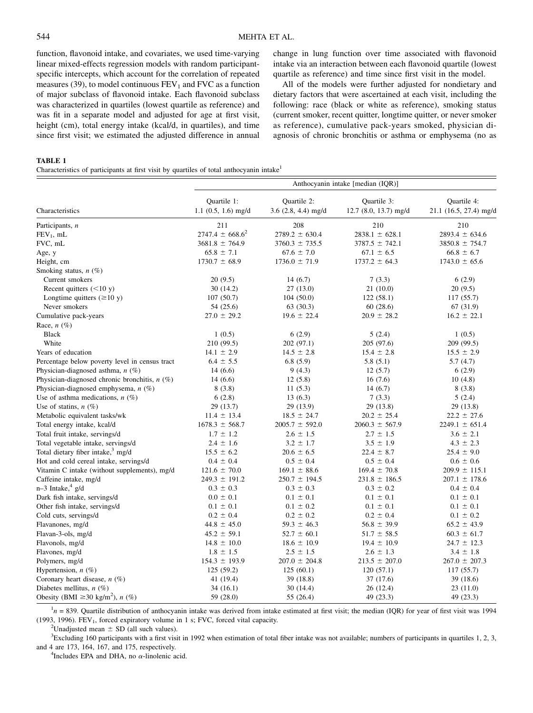function, flavonoid intake, and covariates, we used time-varying linear mixed-effects regression models with random participantspecific intercepts, which account for the correlation of repeated measures (39), to model continuous  $FEV<sub>1</sub>$  and  $FVC$  as a function of major subclass of flavonoid intake. Each flavonoid subclass was characterized in quartiles (lowest quartile as reference) and was fit in a separate model and adjusted for age at first visit, height (cm), total energy intake (kcal/d, in quartiles), and time since first visit; we estimated the adjusted difference in annual

change in lung function over time associated with flavonoid intake via an interaction between each flavonoid quartile (lowest quartile as reference) and time since first visit in the model.

All of the models were further adjusted for nondietary and dietary factors that were ascertained at each visit, including the following: race (black or white as reference), smoking status (current smoker, recent quitter, longtime quitter, or never smoker as reference), cumulative pack-years smoked, physician diagnosis of chronic bronchitis or asthma or emphysema (no as

#### TABLE 1

Characteristics of participants at first visit by quartiles of total anthocyanin intake<sup>1</sup>

|                                                   | Anthocyanin intake [median (IQR)]    |                                        |                                        |                                              |  |  |
|---------------------------------------------------|--------------------------------------|----------------------------------------|----------------------------------------|----------------------------------------------|--|--|
| Characteristics                                   | Quartile 1:<br>$1.1$ (0.5, 1.6) mg/d | Ouartile 2:<br>$3.6$ $(2.8, 4.4)$ mg/d | Ouartile 3:<br>$12.7$ (8.0, 13.7) mg/d | <b>Ouartile 4:</b><br>21.1 (16.5, 27.4) mg/d |  |  |
| Participants, n                                   | 211                                  | 208                                    | 210                                    | 210                                          |  |  |
| $FEV_1$ , mL                                      | $2747.4 \pm 668.6^2$                 | $2789.2 \pm 630.4$                     | $2838.1 \pm 628.1$                     | $2893.4 \pm 634.6$                           |  |  |
| FVC, mL                                           | $3681.8 \pm 764.9$                   | $3760.3 \pm 735.5$                     | $3787.5 \pm 742.1$                     | $3850.8 \pm 754.7$                           |  |  |
| Age, y                                            | $65.8 \pm 7.1$                       | $67.6 \pm 7.0$                         | $67.1 \pm 6.5$                         | $66.8 \pm 6.7$                               |  |  |
| Height, cm                                        | $1730.7 \pm 68.9$                    | $1736.0 \pm 71.9$                      | $1737.2 \pm 64.3$                      | $1743.0 \pm 65.6$                            |  |  |
| Smoking status, $n$ (%)                           |                                      |                                        |                                        |                                              |  |  |
| Current smokers                                   | 20(9.5)                              | 14(6.7)                                | 7(3.3)                                 | 6(2.9)                                       |  |  |
| Recent quitters $(<10 y)$                         | 30(14.2)                             | 27(13.0)                               | 21(10.0)                               | 20(9.5)                                      |  |  |
| Longtime quitters $(\geq 10 y)$                   | 107(50.7)                            | 104(50.0)                              | 122(58.1)                              | 117(55.7)                                    |  |  |
| Never smokers                                     | 54 (25.6)                            | 63 (30.3)                              | 60(28.6)                               | 67 (31.9)                                    |  |  |
| Cumulative pack-years                             | $27.0 \pm 29.2$                      | $19.6 \pm 22.4$                        | $20.9 \pm 28.2$                        | $16.2 \pm 22.1$                              |  |  |
| Race, $n$ (%)                                     |                                      |                                        |                                        |                                              |  |  |
| <b>Black</b>                                      | 1(0.5)                               | 6(2.9)                                 | 5(2.4)                                 | 1(0.5)                                       |  |  |
| White                                             | 210 (99.5)                           | 202 (97.1)                             | 205 (97.6)                             | 209 (99.5)                                   |  |  |
| Years of education                                | $14.1 \pm 2.9$                       | $14.5 \pm 2.8$                         | $15.4 \pm 2.8$                         | $15.5 \pm 2.9$                               |  |  |
| Percentage below poverty level in census tract    | $6.4 \pm 5.5$                        | 6.8(5.9)                               | 5.8(5.1)                               | 5.7(4.7)                                     |  |  |
| Physician-diagnosed asthma, $n$ (%)               | 14(6.6)                              | 9(4.3)                                 | 12(5.7)                                | 6(2.9)                                       |  |  |
| Physician-diagnosed chronic bronchitis, $n$ (%)   | 14(6.6)                              | 12(5.8)                                | 16(7.6)                                | 10(4.8)                                      |  |  |
| Physician-diagnosed emphysema, $n$ (%)            | 8(3.8)                               | 11(5.3)                                | 14(6.7)                                | 8(3.8)                                       |  |  |
| Use of asthma medications, $n$ (%)                | 6(2.8)                               | 13(6.3)                                | 7(3.3)                                 | 5(2.4)                                       |  |  |
| Use of statins, $n(\%)$                           | 29 (13.7)                            | 29 (13.9)                              | 29 (13.8)                              | 29 (13.8)                                    |  |  |
| Metabolic equivalent tasks/wk                     | $11.4 \pm 13.4$                      | $18.5 \pm 24.7$                        | $20.2 \pm 25.4$                        | $22.2 \pm 27.6$                              |  |  |
| Total energy intake, kcal/d                       | $1678.3 \pm 568.7$                   | $2005.7 \pm 592.0$                     | $2060.3 \pm 567.9$                     | $2249.1 \pm 651.4$                           |  |  |
| Total fruit intake, servings/d                    | $1.7 \pm 1.2$                        | $2.6 \pm 1.5$                          | $2.7 \pm 1.5$                          | $3.6 \pm 2.1$                                |  |  |
| Total vegetable intake, servings/d                | $2.4 \pm 1.6$                        | $3.2 \pm 1.7$                          | $3.5 \pm 1.9$                          | $4.3 \pm 2.3$                                |  |  |
| Total dietary fiber intake, <sup>3</sup> mg/d     | $15.5 \pm 6.2$                       | $20.6 \pm 6.5$                         | $22.4 \pm 8.7$                         | $25.4 \pm 9.0$                               |  |  |
| Hot and cold cereal intake, servings/d            | $0.4 \pm 0.4$                        | $0.5 \pm 0.4$                          | $0.5 \pm 0.4$                          | $0.6 \pm 0.6$                                |  |  |
| Vitamin C intake (without supplements), mg/d      | $121.6 \pm 70.0$                     | $169.1 \pm 88.6$                       | $169.4 \pm 70.8$                       | $209.9 \pm 115.1$                            |  |  |
| Caffeine intake, mg/d                             | $249.3 \pm 191.2$                    | $250.7 \pm 194.5$                      | $231.8 \pm 186.5$                      | $207.1 \pm 178.6$                            |  |  |
| $n-3$ Intake, <sup>4</sup> g/d                    | $0.3 \pm 0.3$                        | $0.3 \pm 0.3$                          | $0.3 \pm 0.2$                          | $0.4 \pm 0.4$                                |  |  |
| Dark fish intake, servings/d                      | $0.0 \pm 0.1$                        | $0.1 \pm 0.1$                          | $0.1 \pm 0.1$                          | $0.1 \pm 0.1$                                |  |  |
| Other fish intake, servings/d                     | $0.1 \pm 0.1$                        | $0.1 \pm 0.2$                          | $0.1 \pm 0.1$                          | $0.1 \pm 0.1$                                |  |  |
| Cold cuts, servings/d                             | $0.2 \pm 0.4$                        | $0.2 \pm 0.2$                          | $0.2 \pm 0.4$                          | $0.1 \pm 0.2$                                |  |  |
| Flavanones, mg/d                                  | $44.8 \pm 45.0$                      | $59.3 \pm 46.3$                        | $56.8 \pm 39.9$                        | $65.2 \pm 43.9$                              |  |  |
| Flavan-3-ols, mg/d                                | $45.2 \pm 59.1$                      | $52.7 \pm 60.1$                        | $51.7 \pm 58.5$                        | $60.3 \pm 61.7$                              |  |  |
| Flavonols, mg/d                                   | $14.8 \pm 10.0$                      | $18.6 \pm 10.9$                        | $19.4 \pm 10.9$                        | $24.7 \pm 12.3$                              |  |  |
| Flavones, mg/d                                    | $1.8 \pm 1.5$                        | $2.5 \pm 1.5$                          | $2.6 \pm 1.3$                          | $3.4 \pm 1.8$                                |  |  |
| Polymers, mg/d                                    | $154.3 \pm 193.9$                    | $207.0 \pm 204.8$                      | $213.5 \pm 207.0$                      | $267.0 \pm 207.3$                            |  |  |
| Hypertension, $n$ (%)                             | 125(59.2)                            | 125(60.1)                              | 120(57.1)                              | 117 (55.7)                                   |  |  |
| Coronary heart disease, $n$ (%)                   | 41 (19.4)                            | 39 (18.8)                              | 37 (17.6)                              | 39 (18.6)                                    |  |  |
| Diabetes mellitus, $n$ (%)                        | 34(16.1)                             | 30 (14.4)                              | 26 (12.4)                              | 23(11.0)                                     |  |  |
| Obesity (BMI $\geq$ 30 kg/m <sup>2</sup> ), n (%) | 59 (28.0)                            | 55 (26.4)                              | 49 (23.3)                              | 49 (23.3)                                    |  |  |

 $n_{\text{H}} = 839$ . Quartile distribution of anthocyanin intake was derived from intake estimated at first visit; the median (IQR) for year of first visit was 1994 (1993, 1996).  $FEV<sub>1</sub>$ , forced expiratory volume in 1 s; FVC, forced vital capacity.

<sup>2</sup>Unadjusted mean  $\pm$  SD (all such values).

 ${}^{3}$ Excluding 160 participants with a first visit in 1992 when estimation of total fiber intake was not available; numbers of participants in quartiles 1, 2, 3, and 4 are 173, 164, 167, and 175, respectively.

<sup>4</sup>Includes EPA and DHA, no  $\alpha$ -linolenic acid.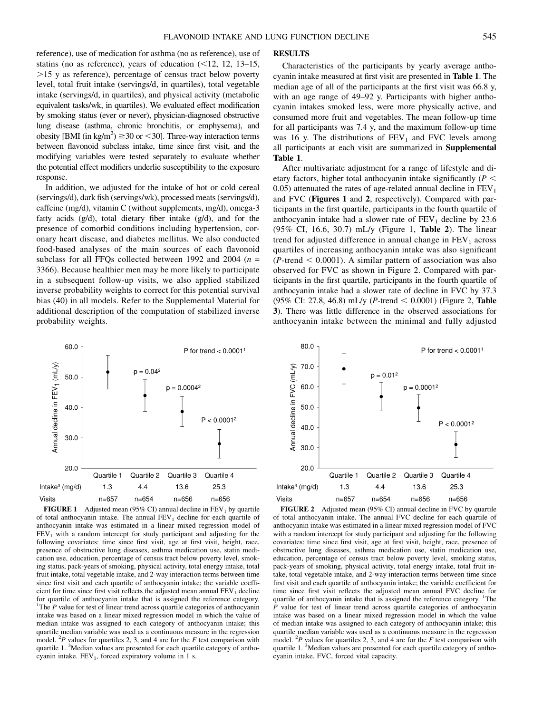reference), use of medication for asthma (no as reference), use of statins (no as reference), years of education  $(\leq 12, 12, 13-15,$ .15 y as reference), percentage of census tract below poverty level, total fruit intake (servings/d, in quartiles), total vegetable intake (servings/d, in quartiles), and physical activity (metabolic equivalent tasks/wk, in quartiles). We evaluated effect modification by smoking status (ever or never), physician-diagnosed obstructive lung disease (asthma, chronic bronchitis, or emphysema), and obesity [BMI (in kg/m<sup>2</sup>)  $\geq$  30 or < 30]. Three-way interaction terms between flavonoid subclass intake, time since first visit, and the modifying variables were tested separately to evaluate whether the potential effect modifiers underlie susceptibility to the exposure

In addition, we adjusted for the intake of hot or cold cereal (servings/d), dark fish (servings/wk), processed meats (servings/d), caffeine (mg/d), vitamin C (without supplements, mg/d), omega-3 fatty acids (g/d), total dietary fiber intake (g/d), and for the presence of comorbid conditions including hypertension, coronary heart disease, and diabetes mellitus. We also conducted food-based analyses of the main sources of each flavonoid subclass for all FFQs collected between 1992 and 2004 ( $n =$ 3366). Because healthier men may be more likely to participate in a subsequent follow-up visits, we also applied stabilized inverse probability weights to correct for this potential survival bias (40) in all models. Refer to the Supplemental Material for additional description of the computation of stabilized inverse probability weights.

response.

#### **RESULTS**

Characteristics of the participants by yearly average anthocyanin intake measured at first visit are presented in Table 1. The median age of all of the participants at the first visit was 66.8 y, with an age range of 49–92 y. Participants with higher anthocyanin intakes smoked less, were more physically active, and consumed more fruit and vegetables. The mean follow-up time for all participants was 7.4 y, and the maximum follow-up time was 16 y. The distributions of  $FEV<sub>1</sub>$  and FVC levels among all participants at each visit are summarized in Supplemental Table 1.

After multivariate adjustment for a range of lifestyle and dietary factors, higher total anthocyanin intake significantly  $(P <$ 0.05) attenuated the rates of age-related annual decline in  $FEV<sub>1</sub>$ and FVC (Figures 1 and 2, respectively). Compared with participants in the first quartile, participants in the fourth quartile of anthocyanin intake had a slower rate of  $FEV<sub>1</sub>$  decline by 23.6 (95% CI, 16.6, 30.7) mL/y (Figure 1, Table 2). The linear trend for adjusted difference in annual change in  $FEV<sub>1</sub>$  across quartiles of increasing anthocyanin intake was also significant  $(P$ -trend  $< 0.0001$ ). A similar pattern of association was also observed for FVC as shown in Figure 2. Compared with participants in the first quartile, participants in the fourth quartile of anthocyanin intake had a slower rate of decline in FVC by 37.3 (95% CI: 27.8, 46.8) mL/y (*P*-trend < 0.0001) (Figure 2, **Table** 3). There was little difference in the observed associations for anthocyanin intake between the minimal and fully adjusted



FIGURE 1 Adjusted mean (95% CI) annual decline in  $FEV<sub>1</sub>$  by quartile of total anthocyanin intake. The annual  $FEV<sub>1</sub>$  decline for each quartile of anthocyanin intake was estimated in a linear mixed regression model of  $FEV<sub>1</sub>$  with a random intercept for study participant and adjusting for the following covariates: time since first visit, age at first visit, height, race, presence of obstructive lung diseases, asthma medication use, statin medication use, education, percentage of census tract below poverty level, smoking status, pack-years of smoking, physical activity, total energy intake, total fruit intake, total vegetable intake, and 2-way interaction terms between time since first visit and each quartile of anthocyanin intake; the variable coefficient for time since first visit reflects the adjusted mean annual  $FEV<sub>1</sub>$  decline for quartile of anthocyanin intake that is assigned the reference category. <sup>1</sup>The  $P$  value for test of linear trend across quartile categories of anthocyanin intake was based on a linear mixed regression model in which the value of median intake was assigned to each category of anthocyanin intake; this quartile median variable was used as a continuous measure in the regression model. <sup>2</sup>P values for quartiles 2, 3, and 4 are for the F test comparison with quartile 1. <sup>3</sup>Median values are presented for each quartile category of anthocyanin intake.  $FEV<sub>1</sub>$ , forced expiratory volume in 1 s.



FIGURE 2 Adjusted mean (95% CI) annual decline in FVC by quartile of total anthocyanin intake. The annual FVC decline for each quartile of anthocyanin intake was estimated in a linear mixed regression model of FVC with a random intercept for study participant and adjusting for the following covariates: time since first visit, age at first visit, height, race, presence of obstructive lung diseases, asthma medication use, statin medication use, education, percentage of census tract below poverty level, smoking status, pack-years of smoking, physical activity, total energy intake, total fruit intake, total vegetable intake, and 2-way interaction terms between time since first visit and each quartile of anthocyanin intake; the variable coefficient for time since first visit reflects the adjusted mean annual FVC decline for quartile of anthocyanin intake that is assigned the reference category. <sup>1</sup>The P value for test of linear trend across quartile categories of anthocyanin intake was based on a linear mixed regression model in which the value of median intake was assigned to each category of anthocyanin intake; this quartile median variable was used as a continuous measure in the regression model. <sup>2</sup>P values for quartiles 2, 3, and 4 are for the F test comparison with quartile 1. <sup>3</sup>Median values are presented for each quartile category of anthocyanin intake. FVC, forced vital capacity.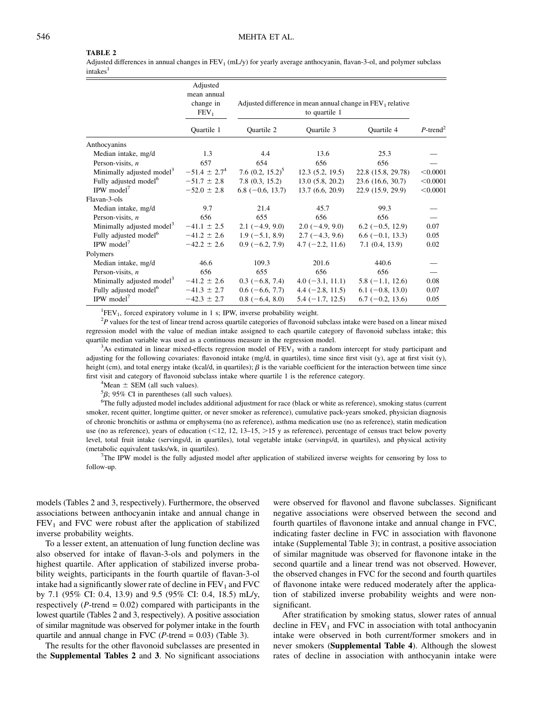#### TABLE 2

Adjusted differences in annual changes in  $FEV_1$  (mL/y) for yearly average anthocyanin, flavan-3-ol, and polymer subclass  $intakes<sup>1</sup>$ 

|                                       | Adjusted<br>mean annual |                                                                               |                   |                    |                         |
|---------------------------------------|-------------------------|-------------------------------------------------------------------------------|-------------------|--------------------|-------------------------|
|                                       | change in<br>$FEV_1$    | Adjusted difference in mean annual change in $FEV1$ relative<br>to quartile 1 |                   |                    |                         |
|                                       | Quartile 1              | Quartile 2                                                                    | Quartile 3        | Quartile 4         | $P$ -trend <sup>2</sup> |
| Anthocyanins                          |                         |                                                                               |                   |                    |                         |
| Median intake, mg/d                   | 1.3                     | 4.4                                                                           | 13.6              | 25.3               |                         |
| Person-visits, $n$                    | 657                     | 654                                                                           | 656               | 656                |                         |
| Minimally adjusted model <sup>3</sup> | $-51.4 \pm 2.7^{4}$     | 7.6 $(0.2, 15.2)^5$                                                           | 12.3(5.2, 19.5)   | 22.8 (15.8, 29.78) | < 0.0001                |
| Fully adjusted model <sup>6</sup>     | $-51.7 \pm 2.8$         | 7.8(0.3, 15.2)                                                                | 13.0(5.8, 20.2)   | 23.6(16.6, 30.7)   | < 0.0001                |
| IPW model <sup>7</sup>                | $-52.0 \pm 2.8$         | $6.8(-0.6, 13.7)$                                                             | 13.7(6.6, 20.9)   | 22.9 (15.9, 29.9)  | < 0.0001                |
| Flavan-3-ols                          |                         |                                                                               |                   |                    |                         |
| Median intake, mg/d                   | 9.7                     | 21.4                                                                          | 45.7              | 99.3               |                         |
| Person-visits, $n$                    | 656                     | 655                                                                           | 656               | 656                |                         |
| Minimally adjusted model <sup>3</sup> | $-41.1 \pm 2.5$         | $2.1(-4.9, 9.0)$                                                              | $2.0(-4.9, 9.0)$  | $6.2(-0.5, 12.9)$  | 0.07                    |
| Fully adjusted model <sup>6</sup>     | $-41.2 \pm 2.6$         | $1.9(-5.1, 8.9)$                                                              | $2.7(-4.3, 9.6)$  | $6.6(-0.1, 13.3)$  | 0.05                    |
| IPW model <sup>7</sup>                | $-42.2 \pm 2.6$         | $0.9(-6.2, 7.9)$                                                              | $4.7(-2.2, 11.6)$ | 7.1(0.4, 13.9)     | 0.02                    |
| Polymers                              |                         |                                                                               |                   |                    |                         |
| Median intake, mg/d                   | 46.6                    | 109.3                                                                         | 201.6             | 440.6              |                         |
| Person-visits, $n$                    | 656                     | 655                                                                           | 656               | 656                |                         |
| Minimally adjusted model <sup>3</sup> | $-41.2 \pm 2.6$         | $0.3(-6.8, 7.4)$                                                              | $4.0(-3.1, 11.1)$ | $5.8(-1.1, 12.6)$  | 0.08                    |
| Fully adjusted model <sup>6</sup>     | $-41.3 \pm 2.7$         | $0.6(-6.6, 7.7)$                                                              | $4.4(-2.8, 11.5)$ | $6.1(-0.8, 13.0)$  | 0.07                    |
| IPW model <sup>7</sup>                | $-42.3 \pm 2.7$         | $0.8(-6.4, 8.0)$                                                              | $5.4(-1.7, 12.5)$ | $6.7(-0.2, 13.6)$  | 0.05                    |

 ${}^{1}$ FEV<sub>1</sub>, forced expiratory volume in 1 s; IPW, inverse probability weight.<br> ${}^{2}P$  volume for the test of linear trand egges quartile estesories of flavoreside

 $P<sup>2</sup>P$  values for the test of linear trend across quartile categories of flavonoid subclass intake were based on a linear mixed regression model with the value of median intake assigned to each quartile category of flavonoid subclass intake; this quartile median variable was used as a continuous measure in the regression model. <sup>3</sup>

 $A$ s estimated in linear mixed-effects regression model of  $FEV<sub>1</sub>$  with a random intercept for study participant and adjusting for the following covariates: flavonoid intake (mg/d, in quartiles), time since first visit (y), age at first visit (y), height (cm), and total energy intake (kcal/d, in quartiles);  $\beta$  is the variable coefficient for the interaction between time since first visit and category of flavonoid subclass intake where quartile 1 is the reference category.

 ${}^{4}$ Mean  $\pm$  SEM (all such values).

 ${}^5\beta$ ; 95% CI in parentheses (all such values).

6 The fully adjusted model includes additional adjustment for race (black or white as reference), smoking status (current smoker, recent quitter, longtime quitter, or never smoker as reference), cumulative pack-years smoked, physician diagnosis of chronic bronchitis or asthma or emphysema (no as reference), asthma medication use (no as reference), statin medication use (no as reference), years of education  $\left($  < 12, 12, 13–15,  $\right)$  as reference), percentage of census tract below poverty level, total fruit intake (servings/d, in quartiles), total vegetable intake (servings/d, in quartiles), and physical activity (metabolic equivalent tasks/wk, in quartiles). <sup>7</sup>

The IPW model is the fully adjusted model after application of stabilized inverse weights for censoring by loss to follow-up.

models (Tables 2 and 3, respectively). Furthermore, the observed associations between anthocyanin intake and annual change in  $FEV<sub>1</sub>$  and FVC were robust after the application of stabilized inverse probability weights.

To a lesser extent, an attenuation of lung function decline was also observed for intake of flavan-3-ols and polymers in the highest quartile. After application of stabilized inverse probability weights, participants in the fourth quartile of flavan-3-ol intake had a significantly slower rate of decline in  $FEV<sub>1</sub>$  and  $FVC$ by 7.1 (95% CI: 0.4, 13.9) and 9.5 (95% CI: 0.4, 18.5) mL/y, respectively ( $P$ -trend = 0.02) compared with participants in the lowest quartile (Tables 2 and 3, respectively). A positive association of similar magnitude was observed for polymer intake in the fourth quartile and annual change in FVC ( $P$ -trend = 0.03) (Table 3).

The results for the other flavonoid subclasses are presented in the Supplemental Tables 2 and 3. No significant associations

were observed for flavonol and flavone subclasses. Significant negative associations were observed between the second and fourth quartiles of flavonone intake and annual change in FVC, indicating faster decline in FVC in association with flavonone intake (Supplemental Table 3); in contrast, a positive association of similar magnitude was observed for flavonone intake in the second quartile and a linear trend was not observed. However, the observed changes in FVC for the second and fourth quartiles of flavonone intake were reduced moderately after the application of stabilized inverse probability weights and were nonsignificant.

After stratification by smoking status, slower rates of annual decline in  $FEV<sub>1</sub>$  and  $FVC$  in association with total anthocyanin intake were observed in both current/former smokers and in never smokers (Supplemental Table 4). Although the slowest rates of decline in association with anthocyanin intake were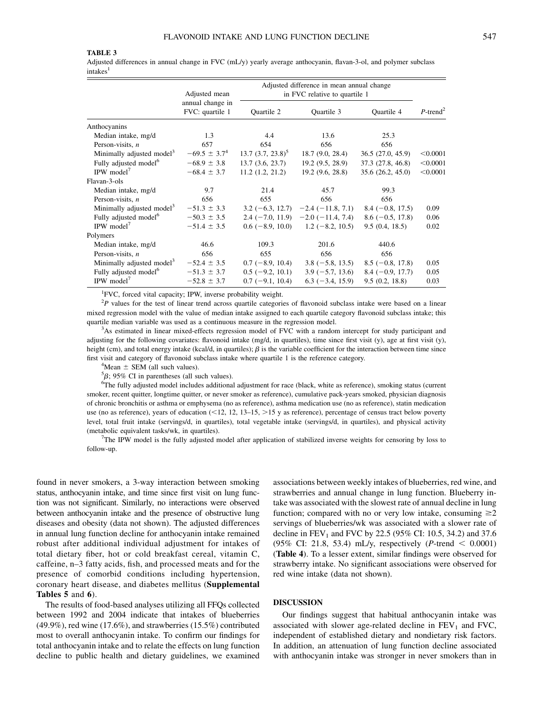#### TABLE 3

Adjusted differences in annual change in FVC (mL/y) yearly average anthocyanin, flavan-3-ol, and polymer subclass intakes<sup>1</sup>

|                                       | Adjusted mean                       | Adjusted difference in mean annual change<br>in FVC relative to quartile 1 |                                      |                    |                         |
|---------------------------------------|-------------------------------------|----------------------------------------------------------------------------|--------------------------------------|--------------------|-------------------------|
|                                       | annual change in<br>FVC: quartile 1 | Quartile 2                                                                 | Quartile 3                           | Quartile 4         | $P$ -trend <sup>2</sup> |
| Anthocyanins                          |                                     |                                                                            |                                      |                    |                         |
| Median intake, mg/d                   | 1.3                                 | 4.4                                                                        | 13.6                                 | 25.3               |                         |
| Person-visits, $n$                    | 657                                 | 654                                                                        | 656                                  | 656                |                         |
| Minimally adjusted model <sup>3</sup> | $-69.5 \pm 3.7^{4}$                 | $13.7 (3.7, 23.8)^5$                                                       | 18.7(9.0, 28.4)                      | 36.5(27.0, 45.9)   | < 0.0001                |
| Fully adjusted model <sup>6</sup>     | $-68.9 \pm 3.8$                     | 13.7(3.6, 23.7)                                                            | 19.2(9.5, 28.9)                      | 37.3 (27.8, 46.8)  | < 0.0001                |
| IPW model <sup>7</sup>                | $-68.4 \pm 3.7$                     | 11.2(1.2, 21.2)                                                            | 19.2(9.6, 28.8)                      | 35.6(26.2, 45.0)   | < 0.0001                |
| Flavan-3-ols                          |                                     |                                                                            |                                      |                    |                         |
| Median intake, mg/d                   | 9.7                                 | 21.4                                                                       | 45.7                                 | 99.3               |                         |
| Person-visits, $n$                    | 656                                 | 655                                                                        | 656                                  | 656                |                         |
| Minimally adjusted model <sup>3</sup> | $-51.3 \pm 3.3$                     |                                                                            | $3.2 (-6.3, 12.7) -2.4 (-11.8, 7.1)$ | $8.4(-0.8, 17.5)$  | 0.09                    |
| Fully adjusted model <sup>6</sup>     | $-50.3 \pm 3.5$                     |                                                                            | $2.4 (-7.0, 11.9) -2.0 (-11.4, 7.4)$ | $8.6(-0.5, 17.8)$  | 0.06                    |
| IPW model <sup>7</sup>                | $-51.4 \pm 3.5$                     |                                                                            | $0.6$ (-8.9, 10.0) 1.2 (-8.2, 10.5)  | 9.5(0.4, 18.5)     | 0.02                    |
| Polymers                              |                                     |                                                                            |                                      |                    |                         |
| Median intake, mg/d                   | 46.6                                | 109.3                                                                      | 201.6                                | 440.6              |                         |
| Person-visits, $n$                    | 656                                 | 655                                                                        | 656                                  | 656                |                         |
| Minimally adjusted model <sup>3</sup> | $-52.4 \pm 3.5$                     | $0.7(-8.9, 10.4)$                                                          | $3.8(-5.8, 13.5)$                    | $8.5(-0.8, 17.8)$  | 0.05                    |
| Fully adjusted model <sup>6</sup>     | $-51.3 \pm 3.7$                     | $0.5$ (-9.2, 10.1)                                                         | $3.9(-5.7, 13.6)$                    | $8.4 (-0.9, 17.7)$ | 0.05                    |
| IPW model <sup>7</sup>                | $-52.8 \pm 3.7$                     | $0.7(-9.1, 10.4)$                                                          | $6.3(-3.4, 15.9)$                    | 9.5(0.2, 18.8)     | 0.03                    |

<sup>1</sup>FVC, forced vital capacity; IPW, inverse probability weight.

 $2P$  values for the test of linear trend across quartile categories of flavonoid subclass intake were based on a linear mixed regression model with the value of median intake assigned to each quartile category flavonoid subclass intake; this quartile median variable was used as a continuous measure in the regression model. <sup>3</sup>

<sup>3</sup>As estimated in linear mixed-effects regression model of FVC with a random intercept for study participant and adjusting for the following covariates: flavonoid intake (mg/d, in quartiles), time since first visit (y), age at first visit (y), height (cm), and total energy intake (kcal/d, in quartiles);  $\beta$  is the variable coefficient for the interaction between time since first visit and category of flavonoid subclass intake where quartile 1 is the reference category.

 $4$ Mean  $\pm$  SEM (all such values).

 ${}^5\beta$ ; 95% CI in parentheses (all such values).<br> ${}^6\text{The fullly adjusted model includes additional conditions}$ 

 ${}^6$ The fully adjusted model includes additional adjustment for race (black, white as reference), smoking status (current smoker, recent quitter, longtime quitter, or never smoker as reference), cumulative pack-years smoked, physician diagnosis of chronic bronchitis or asthma or emphysema (no as reference), asthma medication use (no as reference), statin medication use (no as reference), years of education  $\left($  < 12, 12, 13–15,  $\right)$  as reference), percentage of census tract below poverty level, total fruit intake (servings/d, in quartiles), total vegetable intake (servings/d, in quartiles), and physical activity (metabolic equivalent tasks/wk, in quartiles).

7 The IPW model is the fully adjusted model after application of stabilized inverse weights for censoring by loss to follow-up.

found in never smokers, a 3-way interaction between smoking status, anthocyanin intake, and time since first visit on lung function was not significant. Similarly, no interactions were observed between anthocyanin intake and the presence of obstructive lung diseases and obesity (data not shown). The adjusted differences in annual lung function decline for anthocyanin intake remained robust after additional individual adjustment for intakes of total dietary fiber, hot or cold breakfast cereal, vitamin C, caffeine, n–3 fatty acids, fish, and processed meats and for the presence of comorbid conditions including hypertension, coronary heart disease, and diabetes mellitus (Supplemental Tables 5 and 6).

The results of food-based analyses utilizing all FFQs collected between 1992 and 2004 indicate that intakes of blueberries (49.9%), red wine (17.6%), and strawberries (15.5%) contributed most to overall anthocyanin intake. To confirm our findings for total anthocyanin intake and to relate the effects on lung function decline to public health and dietary guidelines, we examined

associations between weekly intakes of blueberries, red wine, and strawberries and annual change in lung function. Blueberry intake was associated with the slowest rate of annual decline in lung function; compared with no or very low intake, consuming  $\geq 2$ servings of blueberries/wk was associated with a slower rate of decline in  $FEV_1$  and FVC by 22.5 (95% CI: 10.5, 34.2) and 37.6 (95% CI: 21.8, 53.4) mL/y, respectively (*P*-trend  $\leq 0.0001$ ) (Table 4). To a lesser extent, similar findings were observed for strawberry intake. No significant associations were observed for red wine intake (data not shown).

#### DISCUSSION

Our findings suggest that habitual anthocyanin intake was associated with slower age-related decline in  $FEV<sub>1</sub>$  and  $FVC$ , independent of established dietary and nondietary risk factors. In addition, an attenuation of lung function decline associated with anthocyanin intake was stronger in never smokers than in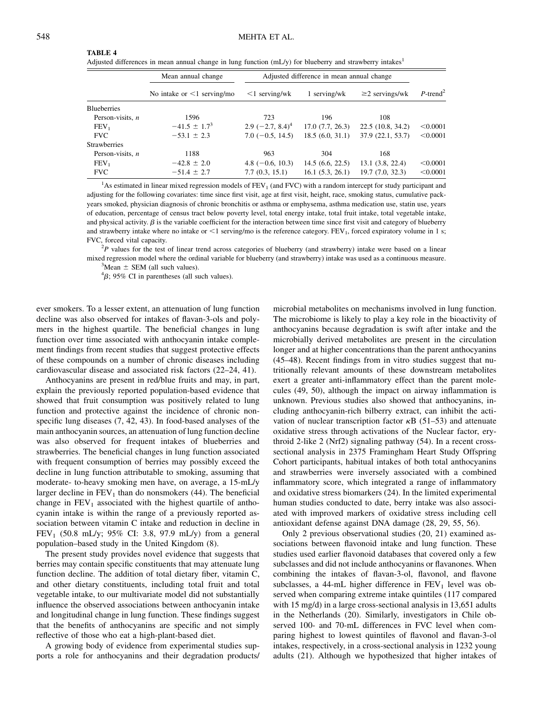#### TABLE 4

Adjusted differences in mean annual change in lung function (mL/y) for blueberry and strawberry intakes<sup>1</sup>

|                     | Mean annual change               | Adjusted difference in mean annual change |                 |                      |                         |
|---------------------|----------------------------------|-------------------------------------------|-----------------|----------------------|-------------------------|
|                     | No intake or $\leq 1$ serving/mo | $\leq$ 1 serving/wk                       | 1 serving/wk    | $\geq$ 2 servings/wk | $P$ -trend <sup>2</sup> |
| <b>Blueberries</b>  |                                  |                                           |                 |                      |                         |
| Person-visits, $n$  | 1596                             | 723                                       | 196             | 108                  |                         |
| FEV <sub>1</sub>    | $-41.5 \pm 1.7^{3}$              | $2.9$ (-2.7, 8.4) <sup>4</sup>            | 17.0(7.7, 26.3) | 22.5(10.8, 34.2)     | < 0.0001                |
| <b>FVC</b>          | $-53.1 \pm 2.3$                  | $7.0(-0.5, 14.5)$                         | 18.5(6.0, 31.1) | 37.9(22.1, 53.7)     | < 0.0001                |
| <b>Strawberries</b> |                                  |                                           |                 |                      |                         |
| Person-visits, $n$  | 1188                             | 963                                       | 304             | 168                  |                         |
| FEV <sub>1</sub>    | $-42.8 \pm 2.0$                  | 4.8 $(-0.6, 10.3)$                        | 14.5(6.6, 22.5) | 13.1(3.8, 22.4)      | < 0.0001                |
| <b>FVC</b>          | $-51.4 \pm 2.7$                  | 7.7(0.3, 15.1)                            | 16.1(5.3, 26.1) | 19.7(7.0, 32.3)      | < 0.0001                |

<sup>1</sup>As estimated in linear mixed regression models of FEV<sub>1</sub> (and FVC) with a random intercept for study participant and adjusting for the following covariates: time since first visit, age at first visit, height, race, smoking status, cumulative packyears smoked, physician diagnosis of chronic bronchitis or asthma or emphysema, asthma medication use, statin use, years of education, percentage of census tract below poverty level, total energy intake, total fruit intake, total vegetable intake, and physical activity.  $\beta$  is the variable coefficient for the interaction between time since first visit and category of blueberry and strawberry intake where no intake or  $\leq 1$  serving/mo is the reference category. FEV<sub>1</sub>, forced expiratory volume in 1 s; FVC, forced vital capacity.

 $P<sup>2</sup>P$  values for the test of linear trend across categories of blueberry (and strawberry) intake were based on a linear mixed regression model where the ordinal variable for blueberry (and strawberry) intake was used as a continuous measure. <sup>3</sup>

 $^3$ Mean  $\pm$  SEM (all such values).

 ${}^{4}\beta$ ; 95% CI in parentheses (all such values).

ever smokers. To a lesser extent, an attenuation of lung function decline was also observed for intakes of flavan-3-ols and polymers in the highest quartile. The beneficial changes in lung function over time associated with anthocyanin intake complement findings from recent studies that suggest protective effects of these compounds on a number of chronic diseases including cardiovascular disease and associated risk factors (22–24, 41).

Anthocyanins are present in red/blue fruits and may, in part, explain the previously reported population-based evidence that showed that fruit consumption was positively related to lung function and protective against the incidence of chronic nonspecific lung diseases (7, 42, 43). In food-based analyses of the main anthocyanin sources, an attenuation of lung function decline was also observed for frequent intakes of blueberries and strawberries. The beneficial changes in lung function associated with frequent consumption of berries may possibly exceed the decline in lung function attributable to smoking, assuming that moderate- to-heavy smoking men have, on average, a 15-mL/y larger decline in  $FEV<sub>1</sub>$  than do nonsmokers (44). The beneficial change in  $FEV<sub>1</sub>$  associated with the highest quartile of anthocyanin intake is within the range of a previously reported association between vitamin C intake and reduction in decline in FEV<sub>1</sub> (50.8 mL/y; 95% CI: 3.8, 97.9 mL/y) from a general population–based study in the United Kingdom (8).

The present study provides novel evidence that suggests that berries may contain specific constituents that may attenuate lung function decline. The addition of total dietary fiber, vitamin C, and other dietary constituents, including total fruit and total vegetable intake, to our multivariate model did not substantially influence the observed associations between anthocyanin intake and longitudinal change in lung function. These findings suggest that the benefits of anthocyanins are specific and not simply reflective of those who eat a high-plant-based diet.

A growing body of evidence from experimental studies supports a role for anthocyanins and their degradation products/ microbial metabolites on mechanisms involved in lung function. The microbiome is likely to play a key role in the bioactivity of anthocyanins because degradation is swift after intake and the microbially derived metabolites are present in the circulation longer and at higher concentrations than the parent anthocyanins (45–48). Recent findings from in vitro studies suggest that nutritionally relevant amounts of these downstream metabolites exert a greater anti-inflammatory effect than the parent molecules (49, 50), although the impact on airway inflammation is unknown. Previous studies also showed that anthocyanins, including anthocyanin-rich bilberry extract, can inhibit the activation of nuclear transcription factor  $\kappa$ B (51–53) and attenuate oxidative stress through activations of the Nuclear factor, erythroid 2-like 2 (Nrf2) signaling pathway (54). In a recent crosssectional analysis in 2375 Framingham Heart Study Offspring Cohort participants, habitual intakes of both total anthocyanins and strawberries were inversely associated with a combined inflammatory score, which integrated a range of inflammatory and oxidative stress biomarkers (24). In the limited experimental human studies conducted to date, berry intake was also associated with improved markers of oxidative stress including cell antioxidant defense against DNA damage (28, 29, 55, 56).

Only 2 previous observational studies (20, 21) examined associations between flavonoid intake and lung function. These studies used earlier flavonoid databases that covered only a few subclasses and did not include anthocyanins or flavanones. When combining the intakes of flavan-3-ol, flavonol, and flavone subclasses, a 44-mL higher difference in  $FEV<sub>1</sub>$  level was observed when comparing extreme intake quintiles (117 compared with 15 mg/d) in a large cross-sectional analysis in 13,651 adults in the Netherlands (20). Similarly, investigators in Chile observed 100- and 70-mL differences in FVC level when comparing highest to lowest quintiles of flavonol and flavan-3-ol intakes, respectively, in a cross-sectional analysis in 1232 young adults (21). Although we hypothesized that higher intakes of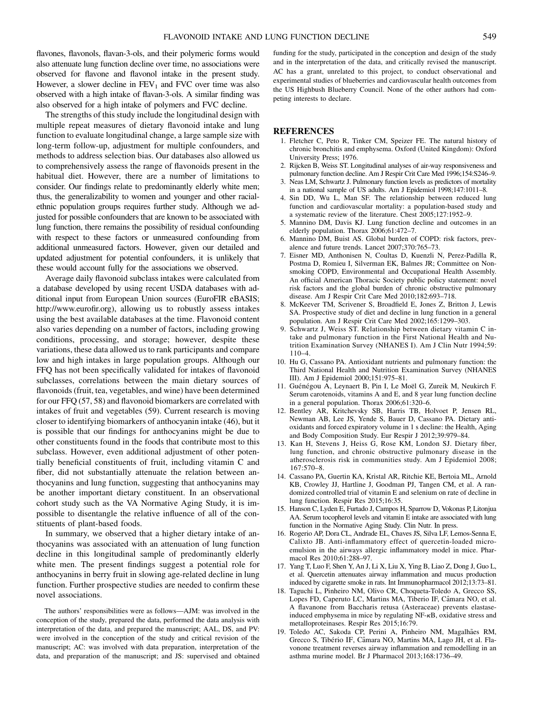flavones, flavonols, flavan-3-ols, and their polymeric forms would also attenuate lung function decline over time, no associations were observed for flavone and flavonol intake in the present study. However, a slower decline in  $FEV<sub>1</sub>$  and  $FVC$  over time was also observed with a high intake of flavan-3-ols. A similar finding was also observed for a high intake of polymers and FVC decline.

The strengths of this study include the longitudinal design with multiple repeat measures of dietary flavonoid intake and lung function to evaluate longitudinal change, a large sample size with long-term follow-up, adjustment for multiple confounders, and methods to address selection bias. Our databases also allowed us to comprehensively assess the range of flavonoids present in the habitual diet. However, there are a number of limitations to consider. Our findings relate to predominantly elderly white men; thus, the generalizability to women and younger and other racialethnic population groups requires further study. Although we adjusted for possible confounders that are known to be associated with lung function, there remains the possibility of residual confounding with respect to these factors or unmeasured confounding from additional unmeasured factors. However, given our detailed and updated adjustment for potential confounders, it is unlikely that these would account fully for the associations we observed.

Average daily flavonoid subclass intakes were calculated from a database developed by using recent USDA databases with additional input from European Union sources (EuroFIR eBASIS; http://www.eurofir.org), allowing us to robustly assess intakes using the best available databases at the time. Flavonoid content also varies depending on a number of factors, including growing conditions, processing, and storage; however, despite these variations, these data allowed us to rank participants and compare low and high intakes in large population groups. Although our FFQ has not been specifically validated for intakes of flavonoid subclasses, correlations between the main dietary sources of flavonoids (fruit, tea, vegetables, and wine) have been determined for our FFQ (57, 58) and flavonoid biomarkers are correlated with intakes of fruit and vegetables (59). Current research is moving closer to identifying biomarkers of anthocyanin intake (46), but it is possible that our findings for anthocyanins might be due to other constituents found in the foods that contribute most to this subclass. However, even additional adjustment of other potentially beneficial constituents of fruit, including vitamin C and fiber, did not substantially attenuate the relation between anthocyanins and lung function, suggesting that anthocyanins may be another important dietary constituent. In an observational cohort study such as the VA Normative Aging Study, it is impossible to disentangle the relative influence of all of the constituents of plant-based foods.

In summary, we observed that a higher dietary intake of anthocyanins was associated with an attenuation of lung function decline in this longitudinal sample of predominantly elderly white men. The present findings suggest a potential role for anthocyanins in berry fruit in slowing age-related decline in lung function. Further prospective studies are needed to confirm these novel associations.

The authors' responsibilities were as follows—AJM: was involved in the conception of the study, prepared the data, performed the data analysis with interpretation of the data, and prepared the manuscript; AAL, DS, and PV: were involved in the conception of the study and critical revision of the manuscript; AC: was involved with data preparation, interpretation of the data, and preparation of the manuscript; and JS: supervised and obtained

funding for the study, participated in the conception and design of the study and in the interpretation of the data, and critically revised the manuscript. AC has a grant, unrelated to this project, to conduct observational and experimental studies of blueberries and cardiovascular health outcomes from the US Highbush Blueberry Council. None of the other authors had competing interests to declare.

#### **REFERENCES**

- 1. Fletcher C, Peto R, Tinker CM, Speizer FE. The natural history of chronic bronchitis and emphysema. Oxford (United Kingdom): Oxford University Press; 1976.
- 2. Rijcken B, Weiss ST. Longitudinal analyses of air-way responsiveness and pulmonary function decline. Am J Respir Crit Care Med 1996;154:S246–9.
- 3. Neas LM, Schwartz J. Pulmonary function levels as predictors of mortality in a national sample of US adults. Am J Epidemiol 1998;147:1011–8.
- 4. Sin DD, Wu L, Man SF. The relationship between reduced lung function and cardiovascular mortality: a population-based study and a systematic review of the literature. Chest 2005;127:1952–9.
- 5. Mannino DM, Davis KJ. Lung function decline and outcomes in an elderly population. Thorax 2006;61:472–7.
- 6. Mannino DM, Buist AS. Global burden of COPD: risk factors, prevalence and future trends. Lancet 2007;370:765–73.
- 7. Eisner MD, Anthonisen N, Coultas D, Kuenzli N, Perez-Padilla R, Postma D, Romieu I, Silverman EK, Balmes JR; Committee on Nonsmoking COPD, Environmental and Occupational Health Assembly. An official American Thoracic Society public policy statement: novel risk factors and the global burden of chronic obstructive pulmonary disease. Am J Respir Crit Care Med 2010;182:693–718.
- 8. McKeever TM, Scrivener S, Broadfield E, Jones Z, Britton J, Lewis SA. Prospective study of diet and decline in lung function in a general population. Am J Respir Crit Care Med 2002;165:1299–303.
- 9. Schwartz J, Weiss ST. Relationship between dietary vitamin C intake and pulmonary function in the First National Health and Nutrition Examination Survey (NHANES I). Am J Clin Nutr 1994;59: 110–4.
- 10. Hu G, Cassano PA. Antioxidant nutrients and pulmonary function: the Third National Health and Nutrition Examination Survey (NHANES III). Am J Epidemiol 2000;151:975–81.
- 11. Guénégou A, Leynaert B, Pin I, Le Moël G, Zureik M, Neukirch F. Serum carotenoids, vitamins A and E, and 8 year lung function decline in a general population. Thorax 2006;61:320–6.
- 12. Bentley AR, Kritchevsky SB, Harris TB, Holvoet P, Jensen RL, Newman AB, Lee JS, Yende S, Bauer D, Cassano PA. Dietary antioxidants and forced expiratory volume in 1 s decline: the Health, Aging and Body Composition Study. Eur Respir J 2012;39:979–84.
- 13. Kan H, Stevens J, Heiss G, Rose KM, London SJ. Dietary fiber, lung function, and chronic obstructive pulmonary disease in the atherosclerosis risk in communities study. Am J Epidemiol 2008; 167:570–8.
- 14. Cassano PA, Guertin KA, Kristal AR, Ritchie KE, Bertoia ML, Arnold KB, Crowley JJ, Hartline J, Goodman PJ, Tangen CM, et al. A randomized controlled trial of vitamin E and selenium on rate of decline in lung function. Respir Res 2015;16:35.
- 15. Hanson C, Lyden E, Furtado J, Campos H, Sparrow D, Vokonas P, Litonjua AA. Serum tocopherol levels and vitamin E intake are associated with lung function in the Normative Aging Study. Clin Nutr. In press.
- 16. Rogerio AP, Dora CL, Andrade EL, Chaves JS, Silva LF, Lemos-Senna E, Calixto JB. Anti-inflammatory effect of quercetin-loaded microemulsion in the airways allergic inflammatory model in mice. Pharmacol Res 2010;61:288–97.
- 17. Yang T, Luo F, Shen Y, An J, Li X, Liu X, Ying B, Liao Z, Dong J, Guo L, et al. Quercetin attenuates airway inflammation and mucus production induced by cigarette smoke in rats. Int Immunopharmacol 2012;13:73–81.
- 18. Taguchi L, Pinheiro NM, Olivo CR, Choqueta-Toledo A, Grecco SS, Lopes FD, Caperuto LC, Martins MA, Tiberio IF, Câmara NO, et al. A flavanone from Baccharis retusa (Asteraceae) prevents elastaseinduced emphysema in mice by regulating NF-kB, oxidative stress and metalloproteinases. Respir Res 2015;16:79.
- 19. Toledo AC, Sakoda CP, Perini A, Pinheiro NM, Magalhães RM, Grecco S, Tibério IF, Câmara NO, Martins MA, Lago JH, et al. Flavonone treatment reverses airway inflammation and remodelling in an asthma murine model. Br J Pharmacol 2013;168:1736–49.